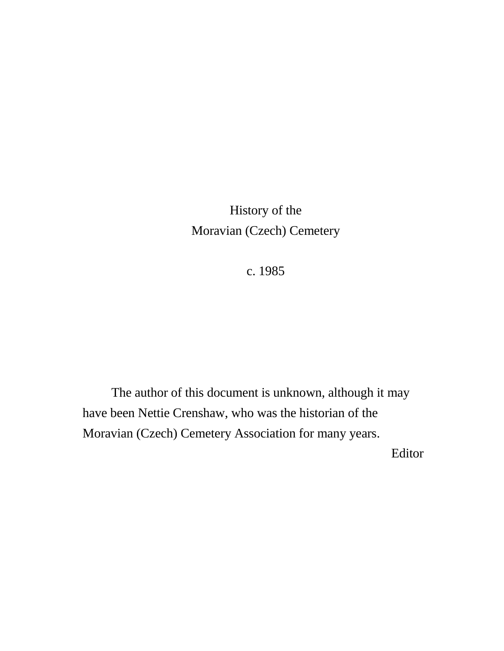History of the Moravian (Czech) Cemetery

c. 1985

 The author of this document is unknown, although it may have been Nettie Crenshaw, who was the historian of the Moravian (Czech) Cemetery Association for many years.

Editor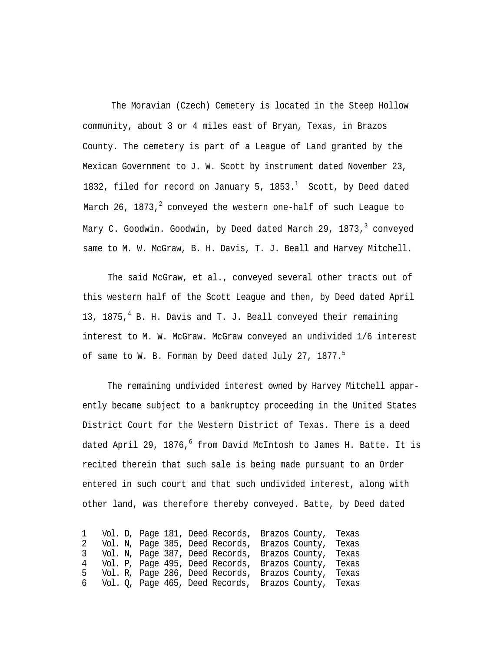The Moravian (Czech) Cemetery is located in the Steep Hollow community, about 3 or 4 miles east of Bryan, Texas, in Brazos County. The cemetery is part of a League of Land granted by the Mexican Government to J. W. Scott by instrument dated November 23, 1832, filed for record on January 5,  $1853.<sup>1</sup>$  Scott, by Deed dated March 26, 1873, $^2$  conveyed the western one-half of such League to Mary C. Goodwin. Goodwin, by Deed dated March 29, 1873,<sup>3</sup> conveyed same to M. W. McGraw, B. H. Davis, T. J. Beall and Harvey Mitchell.

The said McGraw, et al., conveyed several other tracts out of this western half of the Scott League and then, by Deed dated April 13, 1875, $4$  B. H. Davis and T. J. Beall conveyed their remaining interest to M. W. McGraw. McGraw conveyed an undivided 1/6 interest of same to W. B. Forman by Deed dated July 27, 1877. $^5$ 

The remaining undivided interest owned by Harvey Mitchell apparently became subject to a bankruptcy proceeding in the United States District Court for the Western District of Texas. There is a deed dated April 29, 1876, $^6$  from David McIntosh to James H. Batte. It is recited therein that such sale is being made pursuant to an Order entered in such court and that such undivided interest, along with other land, was therefore thereby conveyed. Batte, by Deed dated

 Vol. D, Page 181, Deed Records, Brazos County, Texas Vol. N, Page 385, Deed Records, Brazos County, Texas Vol. N, Page 387, Deed Records, Brazos County, Texas Vol. P, Page 495, Deed Records, Brazos County, Texas Vol. R, Page 286, Deed Records, Brazos County, Texas Vol. Q, Page 465, Deed Records, Brazos County, Texas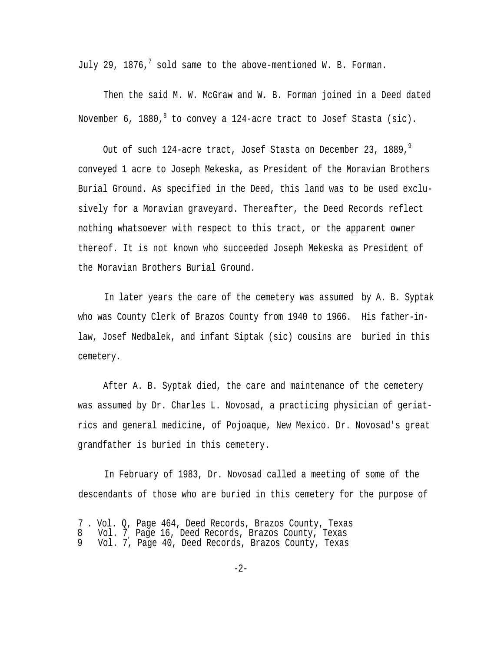July 29, 1876,<sup>7</sup> sold same to the above-mentioned W. B. Forman.

Then the said M. W. McGraw and W. B. Forman joined in a Deed dated November 6, 1880,  $8$  to convey a 124-acre tract to Josef Stasta (sic).

Out of such 124-acre tract, Josef Stasta on December 23, 1889,<sup>9</sup> conveyed 1 acre to Joseph Mekeska, as President of the Moravian Brothers Burial Ground. As specified in the Deed, this land was to be used exclusively for a Moravian graveyard. Thereafter, the Deed Records reflect nothing whatsoever with respect to this tract, or the apparent owner thereof. It is not known who succeeded Joseph Mekeska as President of the Moravian Brothers Burial Ground.

In later years the care of the cemetery was assumed by A. B. Syptak who was County Clerk of Brazos County from 1940 to 1966. His father-inlaw, Josef Nedbalek, and infant Siptak (sic) cousins are buried in this cemetery.

After A. B. Syptak died, the care and maintenance of the cemetery was assumed by Dr. Charles L. Novosad, a practicing physician of geriatrics and general medicine, of Pojoaque, New Mexico. Dr. Novosad's great grandfather is buried in this cemetery.

In February of 1983, Dr. Novosad called a meeting of some of the descendants of those who are buried in this cemetery for the purpose of

<sup>7</sup> . Vol. Q, Page 464, Deed Records, Brazos County, Texas 8 Vol. 7, Page 16, Deed Records, Brazos County, Texas 9 Vol. 7, Page 40, Deed Records, Brazos County, Texas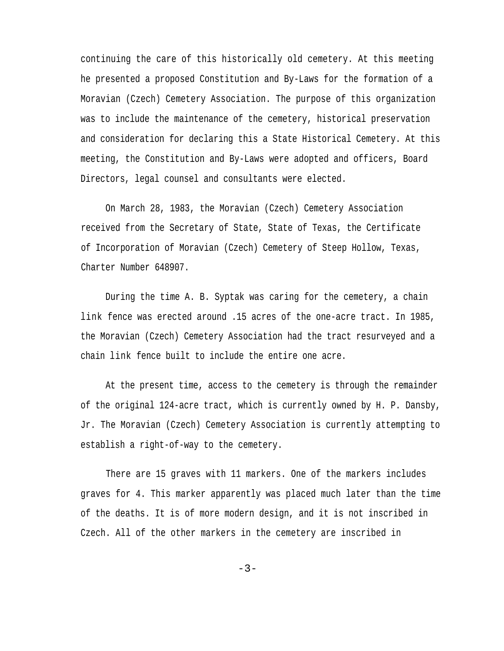continuing the care of this historically old cemetery. At this meeting he presented a proposed Constitution and By-Laws for the formation of a Moravian (Czech) Cemetery Association. The purpose of this organization was to include the maintenance of the cemetery, historical preservation and consideration for declaring this a State Historical Cemetery. At this meeting, the Constitution and By-Laws were adopted and officers, Board Directors, legal counsel and consultants were elected.

On March 28, 1983, the Moravian (Czech) Cemetery Association received from the Secretary of State, State of Texas, the Certificate of Incorporation of Moravian (Czech) Cemetery of Steep Hollow, Texas, Charter Number 648907.

During the time A. B. Syptak was caring for the cemetery, a chain link fence was erected around .15 acres of the one-acre tract. In 1985, the Moravian (Czech) Cemetery Association had the tract resurveyed and a chain link fence built to include the entire one acre.

At the present time, access to the cemetery is through the remainder of the original 124-acre tract, which is currently owned by H. P. Dansby, Jr. The Moravian (Czech) Cemetery Association is currently attempting to establish a right-of-way to the cemetery.

There are 15 graves with 11 markers. One of the markers includes graves for 4. This marker apparently was placed much later than the time of the deaths. It is of more modern design, and it is not inscribed in Czech. All of the other markers in the cemetery are inscribed in

 $-3-$